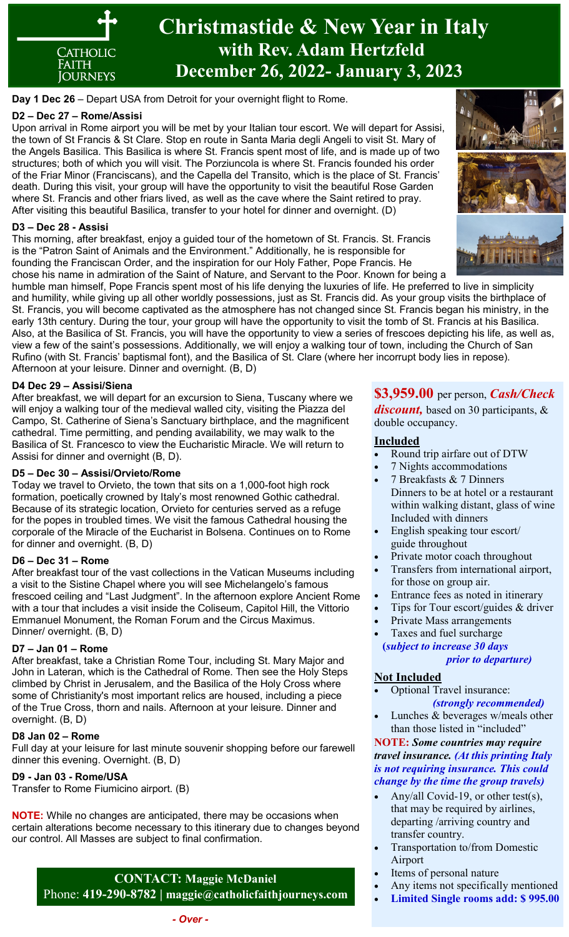

**Day 1 Dec 26** – Depart USA from Detroit for your overnight flight to Rome.

## **D2 – Dec 27 – Rome/Assisi**

Upon arrival in Rome airport you will be met by your Italian tour escort. We will depart for Assisi, the town of St Francis & St Clare. Stop en route in Santa Maria degli Angeli to visit St. Mary of the Angels Basilica. This Basilica is where St. Francis spent most of life, and is made up of two structures; both of which you will visit. The Porziuncola is where St. Francis founded his order of the Friar Minor (Franciscans), and the Capella del Transito, which is the place of St. Francis' death. During this visit, your group will have the opportunity to visit the beautiful Rose Garden where St. Francis and other friars lived, as well as the cave where the Saint retired to pray. After visiting this beautiful Basilica, transfer to your hotel for dinner and overnight. (D)

## **D3 – Dec 28 - Assisi**

This morning, after breakfast, enjoy a guided tour of the hometown of St. Francis. St. Francis is the "Patron Saint of Animals and the Environment." Additionally, he is responsible for founding the Franciscan Order, and the inspiration for our Holy Father, Pope Francis. He chose his name in admiration of the Saint of Nature, and Servant to the Poor. Known for being a



humble man himself, Pope Francis spent most of his life denying the luxuries of life. He preferred to live in simplicity and humility, while giving up all other worldly possessions, just as St. Francis did. As your group visits the birthplace of St. Francis, you will become captivated as the atmosphere has not changed since St. Francis began his ministry, in the early 13th century. During the tour, your group will have the opportunity to visit the tomb of St. Francis at his Basilica. Also, at the Basilica of St. Francis, you will have the opportunity to view a series of frescoes depicting his life, as well as, view a few of the saint's possessions. Additionally, we will enjoy a walking tour of town, including the Church of San Rufino (with St. Francis' baptismal font), and the Basilica of St. Clare (where her incorrupt body lies in repose). Afternoon at your leisure. Dinner and overnight. (B, D)

#### **D4 Dec 29 – Assisi/Siena**

After breakfast, we will depart for an excursion to Siena, Tuscany where we will enjoy a walking tour of the medieval walled city, visiting the Piazza del Campo, St. Catherine of Siena's Sanctuary birthplace, and the magnificent cathedral. Time permitting, and pending availability, we may walk to the Basilica of St. Francesco to view the Eucharistic Miracle. We will return to Assisi for dinner and overnight (B, D).

#### **D5 – Dec 30 – Assisi/Orvieto/Rome**

Today we travel to Orvieto, the town that sits on a 1,000-foot high rock formation, poetically crowned by Italy's most renowned Gothic cathedral. Because of its strategic location, Orvieto for centuries served as a refuge for the popes in troubled times. We visit the famous Cathedral housing the corporale of the Miracle of the Eucharist in Bolsena. Continues on to Rome for dinner and overnight. (B, D)

#### **D6 – Dec 31 – Rome**

After breakfast tour of the vast collections in the Vatican Museums including a visit to the Sistine Chapel where you will see Michelangelo's famous frescoed ceiling and "Last Judgment". In the afternoon explore Ancient Rome with a tour that includes a visit inside the Coliseum, Capitol Hill, the Vittorio Emmanuel Monument, the Roman Forum and the Circus Maximus. Dinner/ overnight. (B, D)

#### **D7 – Jan 01 – Rome**

After breakfast, take a Christian Rome Tour, including St. Mary Major and John in Lateran, which is the Cathedral of Rome. Then see the Holy Steps climbed by Christ in Jerusalem, and the Basilica of the Holy Cross where some of Christianity's most important relics are housed, including a piece of the True Cross, thorn and nails. Afternoon at your leisure. Dinner and overnight. (B, D)

#### **D8 Jan 02 – Rome**

Full day at your leisure for last minute souvenir shopping before our farewell dinner this evening. Overnight. (B, D)

# **D9 - Jan 03 - Rome/USA**

Transfer to Rome Fiumicino airport. (B)

**NOTE:** While no changes are anticipated, there may be occasions when certain alterations become necessary to this itinerary due to changes beyond our control. All Masses are subject to final confirmation.

**CONTACT: Maggie McDaniel** Phone: **419-290-8782 | maggie@catholicfaithjourneys.com**

# **\$3,959.00** per person, *Cash/Check*

*discount,* based on 30 participants, & double occupancy.

## **Included**

- Round trip airfare out of DTW
- 7 Nights accommodations
- 7 Breakfasts & 7 Dinners Dinners to be at hotel or a restaurant within walking distant, glass of wine Included with dinners
- English speaking tour escort/ guide throughout
- Private motor coach throughout
- Transfers from international airport, for those on group air.
- Entrance fees as noted in itinerary
- Tips for Tour escort/guides & driver
- Private Mass arrangements
- Taxes and fuel surcharge **(***subject to increase 30 days prior to departure)*

# **Not Included**

- Optional Travel insurance:  *(strongly recommended)*
- Lunches & beverages w/meals other than those listed in "included"

#### **NOTE:** *Some countries may require travel insurance. (At this printing Italy is not requiring insurance. This could change by the time the group travels)*

- Any/all Covid-19, or other test(s), that may be required by airlines, departing /arriving country and transfer country.
- Transportation to/from Domestic Airport
- Items of personal nature
- Any items not specifically mentioned
- **Limited Single rooms add: \$ 995.00**